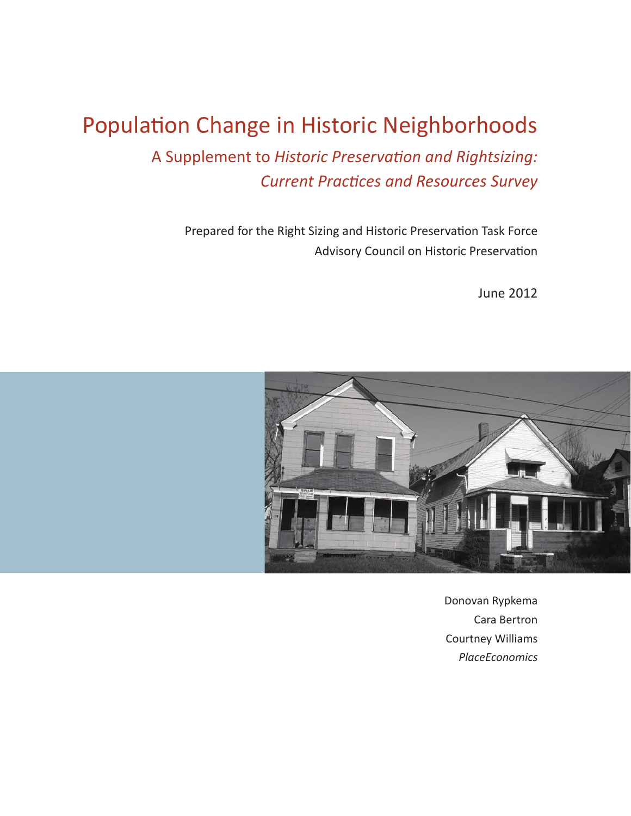# Population Change in Historic Neighborhoods

A Supplement to *Historic Preservation and Rightsizing:* **Current Practices and Resources Survey** 

Prepared for the Right Sizing and Historic Preservation Task Force Advisory Council on Historic Preservation

June 2012



Donovan Rypkema Cara Bertron Courtney Williams *PlaceEconomics*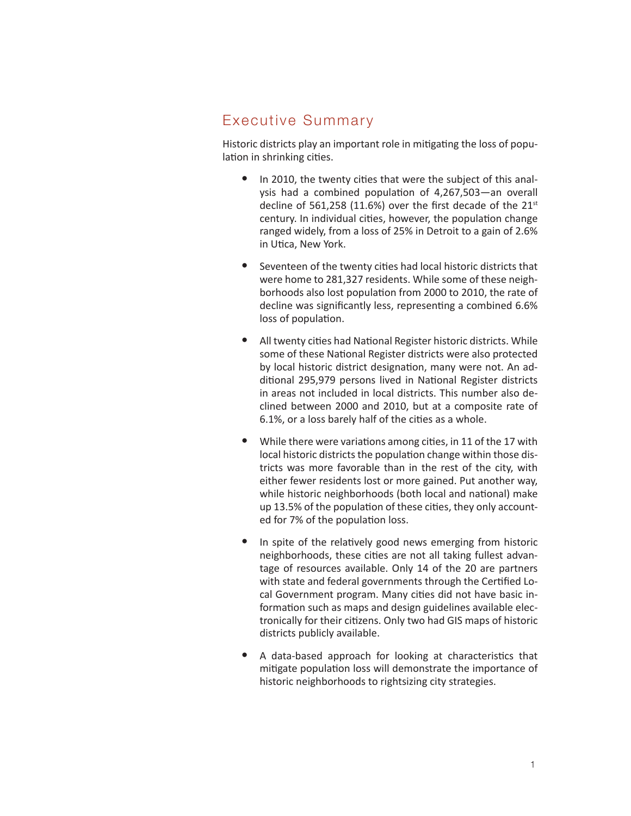# Executive Summary

Historic districts play an important role in mitigating the loss of population in shrinking cities.

- In 2010, the twenty cities that were the subject of this analysis had a combined population of 4,267,503—an overall decline of 561,258 (11.6%) over the first decade of the  $21<sup>st</sup>$ century. In individual cities, however, the population change ranged widely, from a loss of 25% in Detroit to a gain of 2.6% in Utica, New York.
- Seventeen of the twenty cities had local historic districts that were home to 281,327 residents. While some of these neighborhoods also lost population from 2000 to 2010, the rate of decline was significantly less, representing a combined 6.6% loss of population.
- All twenty cities had National Register historic districts. While some of these National Register districts were also protected by local historic district designation, many were not. An additional 295,979 persons lived in National Register districts in areas not included in local districts. This number also declined between 2000 and 2010, but at a composite rate of 6.1%, or a loss barely half of the cities as a whole.
- While there were variations among cities, in 11 of the 17 with local historic districts the population change within those districts was more favorable than in the rest of the city, with either fewer residents lost or more gained. Put another way, while historic neighborhoods (both local and national) make up 13.5% of the population of these cities, they only accounted for 7% of the population loss.
- In spite of the relatively good news emerging from historic neighborhoods, these cities are not all taking fullest advantage of resources available. Only 14 of the 20 are partners with state and federal governments through the Certified Local Government program. Many cities did not have basic information such as maps and design guidelines available electronically for their citizens. Only two had GIS maps of historic districts publicly available.
- A data-based approach for looking at characteristics that mitigate population loss will demonstrate the importance of historic neighborhoods to rightsizing city strategies.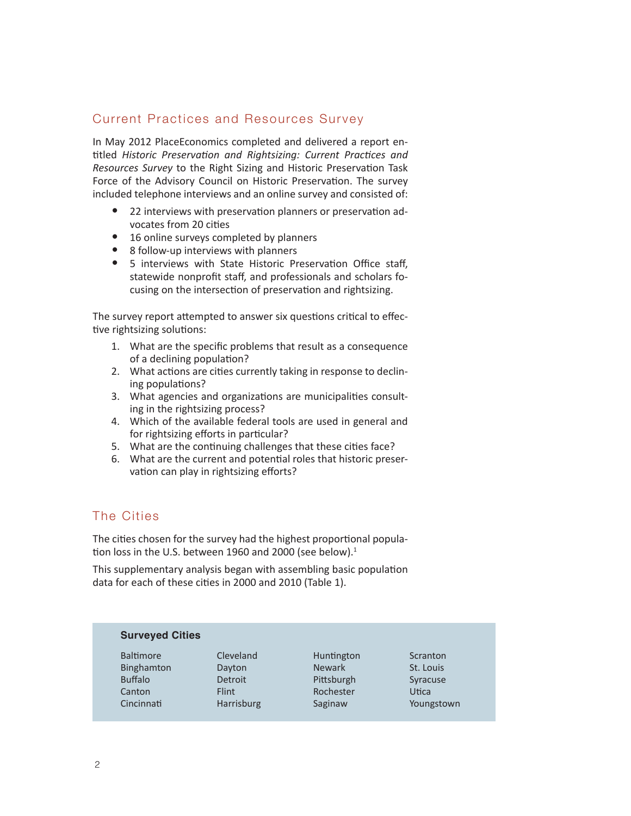## Current Practices and Resources Survey

In May 2012 PlaceEconomics completed and delivered a report entitled *Historic Preservation and Rightsizing: Current Practices and Resources Survey* to the Right Sizing and Historic Preservation Task Force of the Advisory Council on Historic Preservation. The survey included telephone interviews and an online survey and consisted of:

- 22 interviews with preservation planners or preservation advocates from 20 cities
- 16 online surveys completed by planners
- 8 follow-up interviews with planners
- 5 interviews with State Historic Preservation Office staff. statewide nonprofit staff, and professionals and scholars focusing on the intersection of preservation and rightsizing.

The survey report attempted to answer six questions critical to effective rightsizing solutions:

- 1. What are the specific problems that result as a consequence of a declining population?
- 2. What actions are cities currently taking in response to declining populations?
- 3. What agencies and organizations are municipalities consulting in the rightsizing process?
- 4. Which of the available federal tools are used in general and for rightsizing efforts in particular?
- 5. What are the continuing challenges that these cities face?
- 6. What are the current and potential roles that historic preservation can play in rightsizing efforts?

## The Cities

The cities chosen for the survey had the highest proportional population loss in the U.S. between 1960 and 2000 (see below). $1$ 

This supplementary analysis began with assembling basic population data for each of these cities in 2000 and 2010 (Table 1).

| <b>Surveyed Cities</b> |              |               |            |  |  |
|------------------------|--------------|---------------|------------|--|--|
| <b>Baltimore</b>       | Cleveland    | Huntington    | Scranton   |  |  |
| <b>Binghamton</b>      | Dayton       | <b>Newark</b> | St. Louis  |  |  |
| <b>Buffalo</b>         | Detroit      | Pittsburgh    | Syracuse   |  |  |
| Canton                 | <b>Flint</b> | Rochester     | Utica      |  |  |
| Cincinnati             | Harrisburg   | Saginaw       | Youngstown |  |  |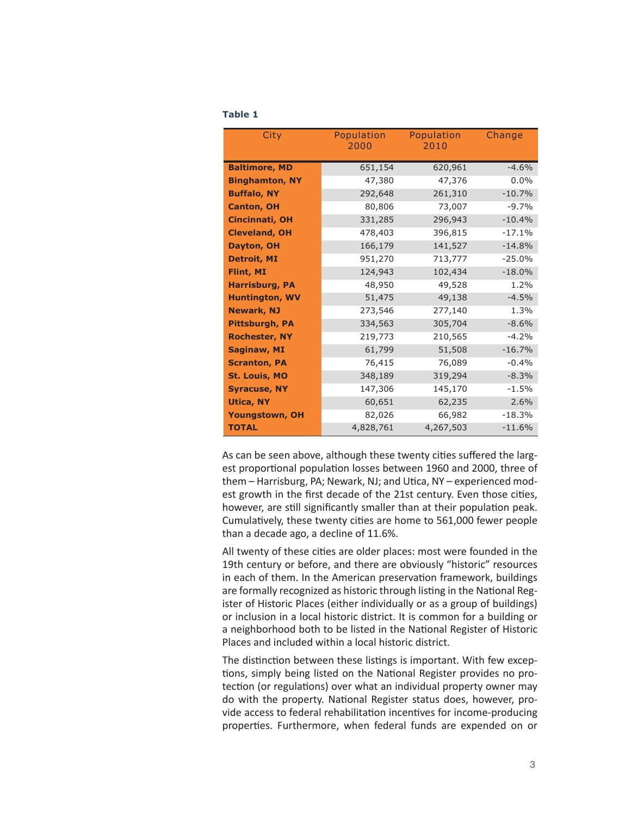| ł | M.<br>٠ |  |
|---|---------|--|
|   |         |  |

| City                  | Population<br>2000 | Population<br>2010 | Change   |
|-----------------------|--------------------|--------------------|----------|
| <b>Baltimore, MD</b>  | 651,154            | 620,961            | $-4.6%$  |
| <b>Binghamton, NY</b> | 47,380             | 47,376             | $0.0\%$  |
| <b>Buffalo, NY</b>    | 292,648            | 261,310            | $-10.7%$ |
| <b>Canton, OH</b>     | 80,806             | 73,007             | $-9.7%$  |
| <b>Cincinnati, OH</b> | 331,285            | 296,943            | $-10.4%$ |
| <b>Cleveland, OH</b>  | 478,403            | 396,815            | $-17.1%$ |
| Dayton, OH            | 166,179            | 141,527            | $-14.8%$ |
| <b>Detroit, MI</b>    | 951,270            | 713,777            | $-25.0%$ |
| Flint, MI             | 124,943            | 102,434            | $-18.0%$ |
| <b>Harrisburg, PA</b> | 48,950             | 49,528             | 1.2%     |
| <b>Huntington, WV</b> | 51,475             | 49,138             | $-4.5%$  |
| <b>Newark, NJ</b>     | 273,546            | 277,140            | 1.3%     |
| Pittsburgh, PA        | 334,563            | 305,704            | $-8.6%$  |
| <b>Rochester, NY</b>  | 219,773            | 210,565            | $-4.2%$  |
| <b>Saginaw, MI</b>    | 61,799             | 51,508             | $-16.7%$ |
| <b>Scranton, PA</b>   | 76,415             | 76,089             | $-0.4%$  |
| <b>St. Louis, MO</b>  | 348,189            | 319,294            | $-8.3%$  |
| <b>Syracuse, NY</b>   | 147,306            | 145,170            | $-1.5%$  |
| <b>Utica, NY</b>      | 60,651             | 62,235             | 2.6%     |
| <b>Youngstown, OH</b> | 82,026             | 66,982             | $-18.3%$ |
| <b>TOTAL</b>          | 4,828,761          | 4,267,503          | $-11.6%$ |

As can be seen above, although these twenty cities suffered the largest proportional population losses between 1960 and 2000, three of them – Harrisburg, PA; Newark, NJ; and Utica, NY – experienced modest growth in the first decade of the 21st century. Even those cities, however, are still significantly smaller than at their population peak. Cumulatively, these twenty cities are home to 561,000 fewer people than a decade ago, a decline of 11.6%.

All twenty of these cities are older places: most were founded in the 19th century or before, and there are obviously "historic" resources in each of them. In the American preservation framework, buildings are formally recognized as historic through listing in the National Register of Historic Places (either individually or as a group of buildings) or inclusion in a local historic district. It is common for a building or a neighborhood both to be listed in the National Register of Historic Places and included within a local historic district.

The distinction between these listings is important. With few exceptions, simply being listed on the National Register provides no protection (or regulations) over what an individual property owner may do with the property. National Register status does, however, provide access to federal rehabilitation incentives for income-producing properties. Furthermore, when federal funds are expended on or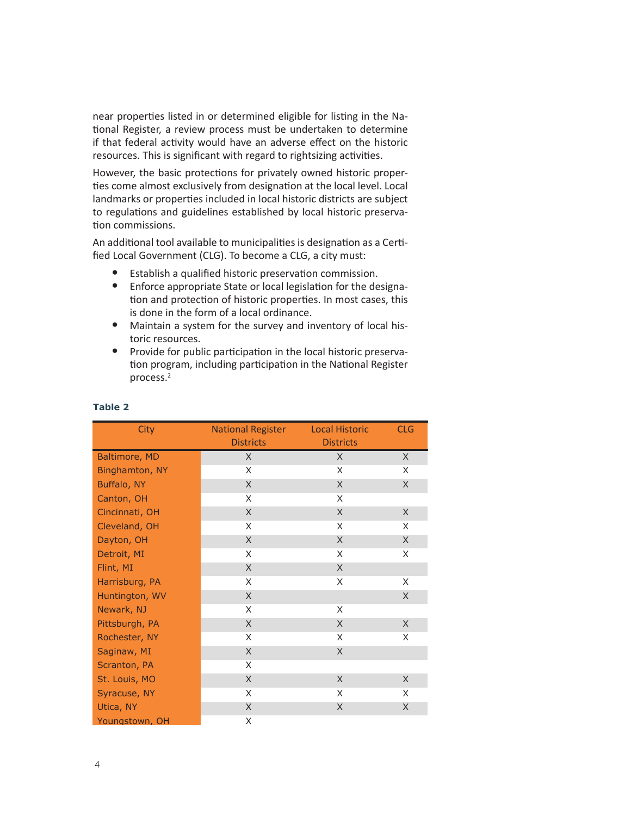near properties listed in or determined eligible for listing in the National Register, a review process must be undertaken to determine if that federal activity would have an adverse effect on the historic resources. This is significant with regard to rightsizing activities.

However, the basic protections for privately owned historic properties come almost exclusively from designation at the local level. Local landmarks or properties included in local historic districts are subject to regulations and guidelines established by local historic preservation commissions.

An additional tool available to municipalities is designation as a Certified Local Government (CLG). To become a CLG, a city must:

- Establish a qualified historic preservation commission.
- Enforce appropriate State or local legislation for the designation and protection of historic properties. In most cases, this is done in the form of a local ordinance.
- Maintain a system for the survey and inventory of local historic resources.
- Provide for public participation in the local historic preservation program, including participation in the National Register process.2

| <b>City</b>    | <b>National Register</b><br><b>Districts</b> | <b>Local Historic</b><br><b>Districts</b> | <b>CLG</b> |
|----------------|----------------------------------------------|-------------------------------------------|------------|
| Baltimore, MD  | X                                            | X                                         | X          |
| Binghamton, NY | X                                            | X                                         | X          |
| Buffalo, NY    | X                                            | X                                         | X          |
| Canton, OH     | X                                            | X                                         |            |
| Cincinnati, OH | X                                            | X                                         | X          |
| Cleveland, OH  | X                                            | X                                         | X          |
| Dayton, OH     | X                                            | X                                         | X          |
| Detroit, MI    | X                                            | X                                         | X          |
| Flint, MI      | X                                            | X                                         |            |
| Harrisburg, PA | X                                            | X                                         | X          |
| Huntington, WV | X                                            |                                           | X          |
| Newark, NJ     | X                                            | X                                         |            |
| Pittsburgh, PA | X                                            | X                                         | X          |
| Rochester, NY  | X                                            | X                                         | X          |
| Saginaw, MI    | X                                            | X                                         |            |
| Scranton, PA   | X                                            |                                           |            |
| St. Louis, MO  | X                                            | X                                         | X          |
| Syracuse, NY   | X                                            | X                                         | X          |
| Utica, NY      | X                                            | X                                         | X          |
| Youngstown, OH | X                                            |                                           |            |

#### **Table 2**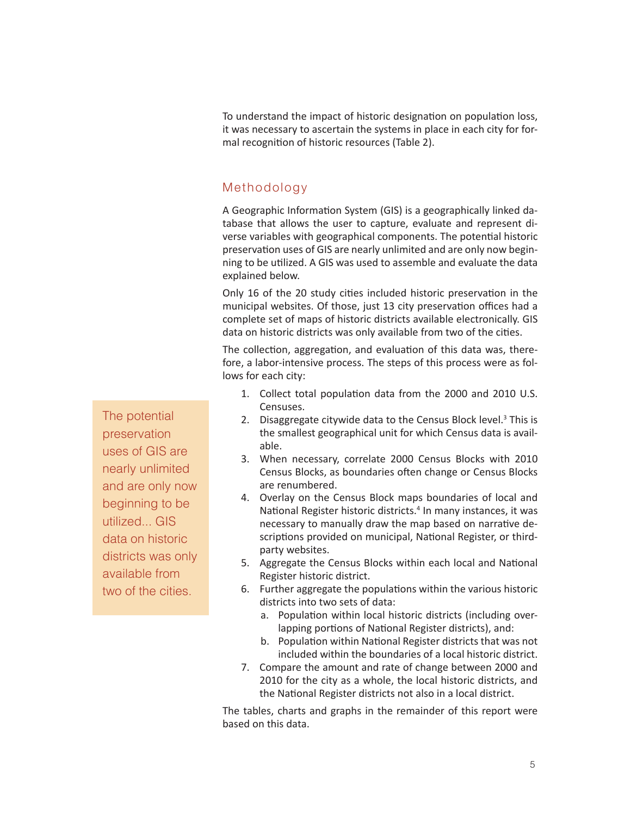To understand the impact of historic designation on population loss, it was necessary to ascertain the systems in place in each city for formal recognition of historic resources (Table 2).

## Methodology

A Geographic Information System (GIS) is a geographically linked database that allows the user to capture, evaluate and represent diverse variables with geographical components. The potential historic preservation uses of GIS are nearly unlimited and are only now beginning to be utilized. A GIS was used to assemble and evaluate the data explained below.

Only 16 of the 20 study cities included historic preservation in the municipal websites. Of those, just 13 city preservation offices had a complete set of maps of historic districts available electronically. GIS data on historic districts was only available from two of the cities.

The collection, aggregation, and evaluation of this data was, therefore, a labor-intensive process. The steps of this process were as follows for each city:

- 1. Collect total population data from the 2000 and 2010 U.S. Censuses.
- 2. Disaggregate citywide data to the Census Block level. $3$  This is the smallest geographical unit for which Census data is available.
- 3. When necessary, correlate 2000 Census Blocks with 2010 Census Blocks, as boundaries often change or Census Blocks are renumbered.
- 4. Overlay on the Census Block maps boundaries of local and National Register historic districts.<sup>4</sup> In many instances, it was necessary to manually draw the map based on narrative descriptions provided on municipal, National Register, or thirdparty websites.
- 5. Aggregate the Census Blocks within each local and National Register historic district.
- 6. Further aggregate the populations within the various historic districts into two sets of data:
	- a. Population within local historic districts (including overlapping portions of National Register districts), and:
	- b. Population within National Register districts that was not included within the boundaries of a local historic district.
- 7. Compare the amount and rate of change between 2000 and 2010 for the city as a whole, the local historic districts, and the National Register districts not also in a local district.

The tables, charts and graphs in the remainder of this report were based on this data.

The potential preservation uses of GIS are nearly unlimited and are only now beginning to be utilized... GIS data on historic districts was only available from two of the cities.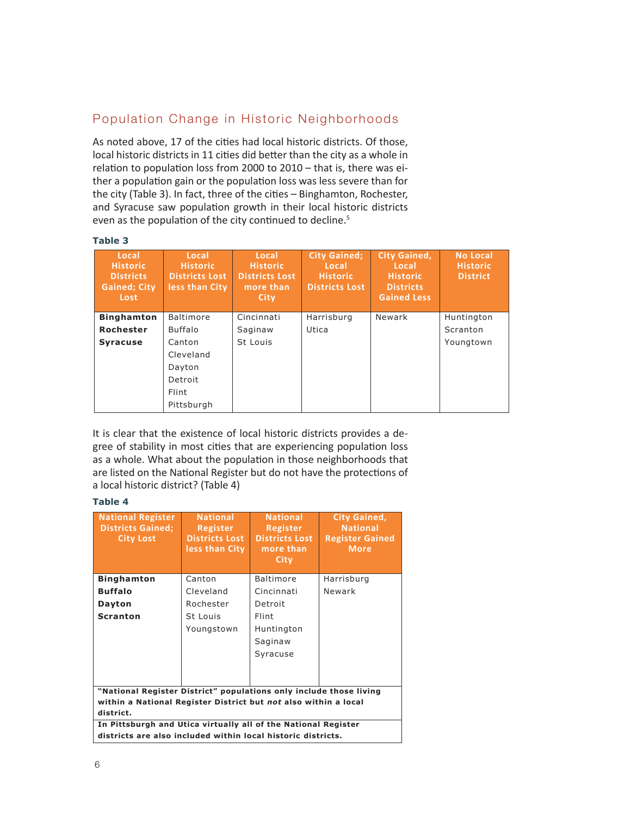# Population Change in Historic Neighborhoods

As noted above, 17 of the cities had local historic districts. Of those, local historic districts in 11 cities did better than the city as a whole in relation to population loss from 2000 to 2010 – that is, there was either a population gain or the population loss was less severe than for the city (Table 3). In fact, three of the cities – Binghamton, Rochester, and Syracuse saw population growth in their local historic districts even as the population of the city continued to decline.<sup>5</sup>

#### **Table 3**

| Local<br><b>Historic</b><br><b>Districts</b><br><b>Gained</b> ; City<br>Lost | Local<br><b>Historic</b><br><b>Districts Lost</b><br>less than City | Local<br><b>Historic</b><br><b>Districts Lost</b><br>more than<br>City | <b>City Gained:</b><br>Local<br><b>Historic</b><br><b>Districts Lost</b> | <b>City Gained,</b><br>Local<br><b>Historic</b><br><b>Districts</b><br><b>Gained Less</b> | <b>No Local</b><br><b>Historic</b><br><b>District</b> |
|------------------------------------------------------------------------------|---------------------------------------------------------------------|------------------------------------------------------------------------|--------------------------------------------------------------------------|-------------------------------------------------------------------------------------------|-------------------------------------------------------|
| <b>Binghamton</b>                                                            | <b>Baltimore</b>                                                    | Cincinnati                                                             | Harrisburg                                                               | Newark                                                                                    | Huntington                                            |
| Rochester                                                                    | <b>Buffalo</b>                                                      | Saginaw                                                                | Utica                                                                    |                                                                                           | Scranton                                              |
| <b>Syracuse</b>                                                              | Canton                                                              | St Louis                                                               |                                                                          |                                                                                           | Youngtown                                             |
|                                                                              | Cleveland                                                           |                                                                        |                                                                          |                                                                                           |                                                       |
|                                                                              | Dayton                                                              |                                                                        |                                                                          |                                                                                           |                                                       |
|                                                                              | Detroit                                                             |                                                                        |                                                                          |                                                                                           |                                                       |
|                                                                              | Flint                                                               |                                                                        |                                                                          |                                                                                           |                                                       |
|                                                                              | Pittsburgh                                                          |                                                                        |                                                                          |                                                                                           |                                                       |

It is clear that the existence of local historic districts provides a degree of stability in most cities that are experiencing population loss as a whole. What about the population in those neighborhoods that are listed on the National Register but do not have the protections of a local historic district? (Table 4) **Districts Gained:**  $\theta$ **National Register**  na popa<br>Nahhark **Register City Gained,**  whole. What about the population in those neighborhoods that

#### **Table 4**

| <b>National Register</b><br><b>Districts Gained;</b><br><b>City Lost</b>                                                       | <b>National</b><br><b>Register</b><br><b>Districts Lost</b><br>less than City | <b>National</b><br>Register<br><b>Districts Lost</b><br>more than<br>City | <b>City Gained,</b><br><b>National</b><br><b>Register Gained</b><br><b>More</b> |  |  |
|--------------------------------------------------------------------------------------------------------------------------------|-------------------------------------------------------------------------------|---------------------------------------------------------------------------|---------------------------------------------------------------------------------|--|--|
| <b>Binghamton</b>                                                                                                              | Canton                                                                        | <b>Baltimore</b>                                                          | Harrisburg                                                                      |  |  |
| <b>Buffalo</b>                                                                                                                 | Cleveland                                                                     | Cincinnati                                                                | Newark                                                                          |  |  |
| Dayton                                                                                                                         | Rochester                                                                     | Detroit                                                                   |                                                                                 |  |  |
| <b>Scranton</b>                                                                                                                | St Louis                                                                      | Flint                                                                     |                                                                                 |  |  |
|                                                                                                                                | Youngstown                                                                    | Huntington                                                                |                                                                                 |  |  |
|                                                                                                                                |                                                                               | Saginaw                                                                   |                                                                                 |  |  |
|                                                                                                                                |                                                                               | Syracuse                                                                  |                                                                                 |  |  |
|                                                                                                                                |                                                                               |                                                                           |                                                                                 |  |  |
|                                                                                                                                |                                                                               |                                                                           |                                                                                 |  |  |
| "National Register District" populations only include those living                                                             |                                                                               |                                                                           |                                                                                 |  |  |
| within a National Register District but not also within a local                                                                |                                                                               |                                                                           |                                                                                 |  |  |
| district.                                                                                                                      |                                                                               |                                                                           |                                                                                 |  |  |
| In Pittsburgh and Utica virtually all of the National Register<br>districts are also included within local historic districts. |                                                                               |                                                                           |                                                                                 |  |  |
|                                                                                                                                |                                                                               |                                                                           |                                                                                 |  |  |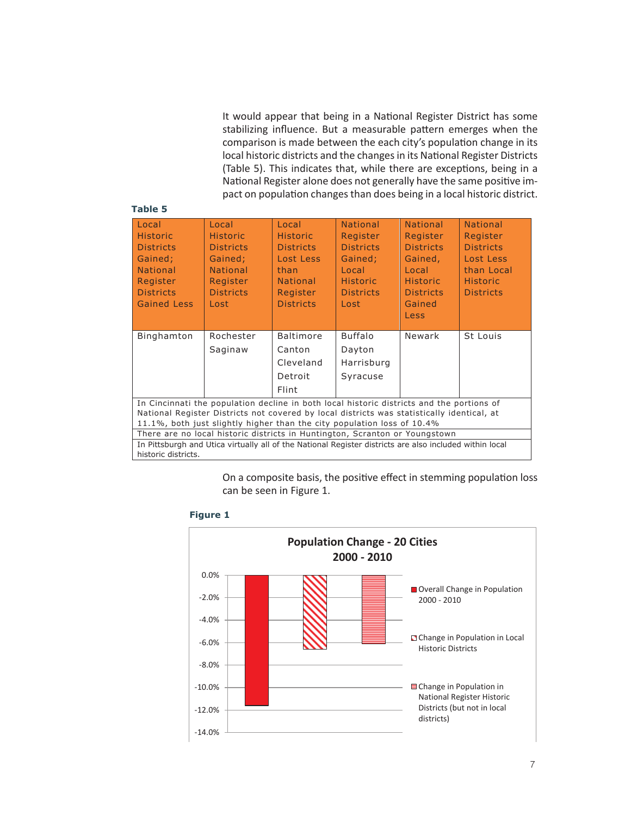It would appear that being in a National Register District has some stabilizing influence. But a measurable pattern emerges when the comparison is made between the each city's population change in its local historic districts and the changes in its National Register Districts (Table 5). This indicates that, while there are exceptions, being in a National Register alone does not generally have the same positive impact on population changes than does being in a local historic district.

#### **Table 5**

| Local                                                                                                   | Local                                                                       | Local            | <b>National</b>  | <b>National</b>  | <b>National</b>  |  |
|---------------------------------------------------------------------------------------------------------|-----------------------------------------------------------------------------|------------------|------------------|------------------|------------------|--|
| <b>Historic</b>                                                                                         | <b>Historic</b>                                                             | <b>Historic</b>  | Register         | Register         | Register         |  |
| <b>Districts</b>                                                                                        | <b>Districts</b>                                                            | <b>Districts</b> | <b>Districts</b> | <b>Districts</b> | <b>Districts</b> |  |
| Gained;                                                                                                 | Gained;                                                                     | Lost Less        | Gained;          | Gained,          | Lost Less        |  |
| <b>National</b>                                                                                         | <b>National</b>                                                             | than             | Local            | Local            | than Local       |  |
| Register                                                                                                | Register                                                                    | <b>National</b>  | <b>Historic</b>  | <b>Historic</b>  | <b>Historic</b>  |  |
| <b>Districts</b>                                                                                        | <b>Districts</b>                                                            | Register         | <b>Districts</b> | <b>Districts</b> | <b>Districts</b> |  |
| <b>Gained Less</b>                                                                                      | Lost                                                                        | <b>Districts</b> | Lost             | Gained           |                  |  |
|                                                                                                         |                                                                             |                  |                  | Less             |                  |  |
|                                                                                                         |                                                                             |                  |                  |                  |                  |  |
| Binghamton                                                                                              | Rochester                                                                   | <b>Baltimore</b> | <b>Buffalo</b>   | Newark           | St Louis         |  |
|                                                                                                         | Saginaw                                                                     | Canton           | Dayton           |                  |                  |  |
|                                                                                                         |                                                                             | Cleveland        | Harrisburg       |                  |                  |  |
|                                                                                                         |                                                                             | Detroit          | Syracuse         |                  |                  |  |
|                                                                                                         |                                                                             | Flint            |                  |                  |                  |  |
| In Cincinnati the population decline in both local historic districts and the portions of               |                                                                             |                  |                  |                  |                  |  |
| National Register Districts not covered by local districts was statistically identical, at              |                                                                             |                  |                  |                  |                  |  |
| 11.1%, both just slightly higher than the city population loss of 10.4%                                 |                                                                             |                  |                  |                  |                  |  |
|                                                                                                         | There are no local historic districts in Huntington, Scranton or Youngstown |                  |                  |                  |                  |  |
| In Pittsburgh and Utica virtually all of the National Register districts are also included within local |                                                                             |                  |                  |                  |                  |  |
| historic districts.                                                                                     |                                                                             |                  |                  |                  |                  |  |
|                                                                                                         |                                                                             |                  |                  |                  |                  |  |

On a composite basis, the positive effect in stemming population loss **Population Change -** 20 Cities **Change -** 20 Cities in Huntington or *Stricts* in Huntington, Scripts in Scripts in Scripts in Huntington, Scripts in Scripts in Scripts in Scripts in Scripts in Scripts in Scripts in Scrip On a composite basis, the positive enect in stemming po



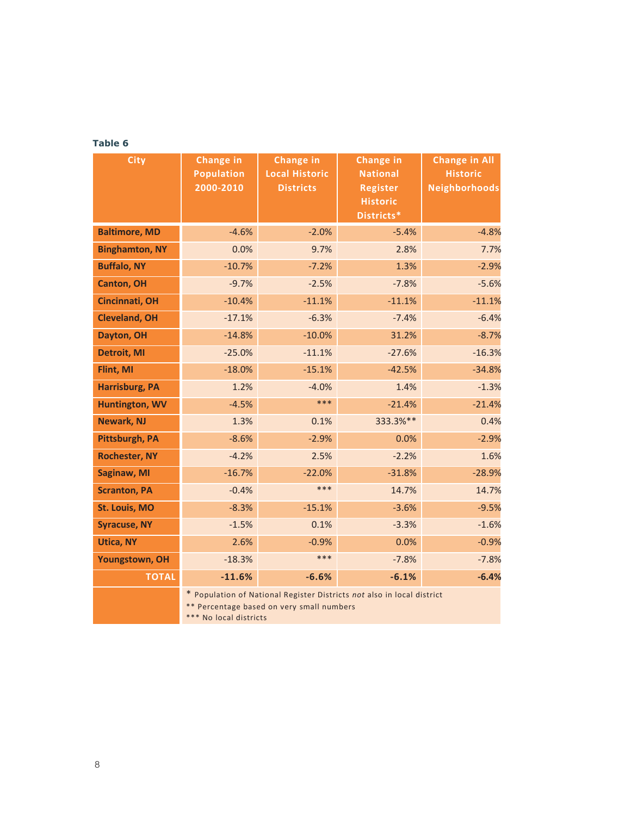### **Table 6**

| <b>City</b>           | <b>Change in</b><br><b>Population</b>                                                                                                         | <b>Change in</b><br><b>Local Historic</b> | <b>Change in</b><br><b>National</b> | <b>Change in All</b><br><b>Historic</b> |  |
|-----------------------|-----------------------------------------------------------------------------------------------------------------------------------------------|-------------------------------------------|-------------------------------------|-----------------------------------------|--|
|                       | 2000-2010                                                                                                                                     | <b>Districts</b>                          | <b>Register</b>                     | <b>Neighborhoods</b>                    |  |
|                       |                                                                                                                                               |                                           | <b>Historic</b>                     |                                         |  |
|                       |                                                                                                                                               |                                           | Districts*                          |                                         |  |
| <b>Baltimore, MD</b>  | $-4.6%$                                                                                                                                       | $-2.0%$                                   | $-5.4%$                             | $-4.8%$                                 |  |
| <b>Binghamton, NY</b> | 0.0%                                                                                                                                          | 9.7%                                      | 2.8%                                | 7.7%                                    |  |
| <b>Buffalo, NY</b>    | $-10.7%$                                                                                                                                      | $-7.2%$                                   | 1.3%                                | $-2.9%$                                 |  |
| <b>Canton, OH</b>     | $-9.7%$                                                                                                                                       | $-2.5%$                                   | $-7.8%$                             | $-5.6%$                                 |  |
| <b>Cincinnati, OH</b> | $-10.4%$                                                                                                                                      | $-11.1%$                                  | $-11.1%$                            | $-11.1%$                                |  |
| <b>Cleveland, OH</b>  | $-17.1%$                                                                                                                                      | $-6.3%$                                   | $-7.4%$                             | $-6.4%$                                 |  |
| Dayton, OH            | $-14.8%$                                                                                                                                      | $-10.0%$                                  | 31.2%                               | $-8.7%$                                 |  |
| <b>Detroit, MI</b>    | $-25.0%$                                                                                                                                      | $-11.1%$                                  | $-27.6%$                            | $-16.3%$                                |  |
| Flint, MI             | $-18.0%$                                                                                                                                      | $-15.1%$                                  | $-42.5%$                            | $-34.8%$                                |  |
| <b>Harrisburg, PA</b> | 1.2%                                                                                                                                          | $-4.0%$                                   | 1.4%                                | $-1.3%$                                 |  |
| Huntington, WV        | $-4.5%$                                                                                                                                       | ***                                       | $-21.4%$                            | $-21.4%$                                |  |
| <b>Newark, NJ</b>     | 1.3%                                                                                                                                          | 0.1%                                      | 333.3%**                            | 0.4%                                    |  |
| Pittsburgh, PA        | $-8.6%$                                                                                                                                       | $-2.9%$                                   | 0.0%                                | $-2.9%$                                 |  |
| <b>Rochester, NY</b>  | $-4.2%$                                                                                                                                       | 2.5%                                      | $-2.2%$                             | 1.6%                                    |  |
| Saginaw, MI           | $-16.7%$                                                                                                                                      | $-22.0%$                                  | $-31.8%$                            | $-28.9%$                                |  |
| <b>Scranton, PA</b>   | $-0.4%$                                                                                                                                       | $***$                                     | 14.7%                               | 14.7%                                   |  |
| <b>St. Louis, MO</b>  | $-8.3%$                                                                                                                                       | $-15.1%$                                  | $-3.6%$                             | $-9.5%$                                 |  |
| <b>Syracuse, NY</b>   | $-1.5%$                                                                                                                                       | 0.1%                                      | $-3.3%$                             | $-1.6%$                                 |  |
| <b>Utica, NY</b>      | 2.6%                                                                                                                                          | $-0.9%$                                   | 0.0%                                | $-0.9%$                                 |  |
| Youngstown, OH        | $-18.3%$                                                                                                                                      | ***                                       | $-7.8%$                             | $-7.8%$                                 |  |
| <b>TOTAL</b>          | $-11.6%$                                                                                                                                      | $-6.6%$                                   | $-6.1%$                             | $-6.4%$                                 |  |
|                       | * Population of National Register Districts not also in local district<br>** Percentage based on very small numbers<br>*** No local districts |                                           |                                     |                                         |  |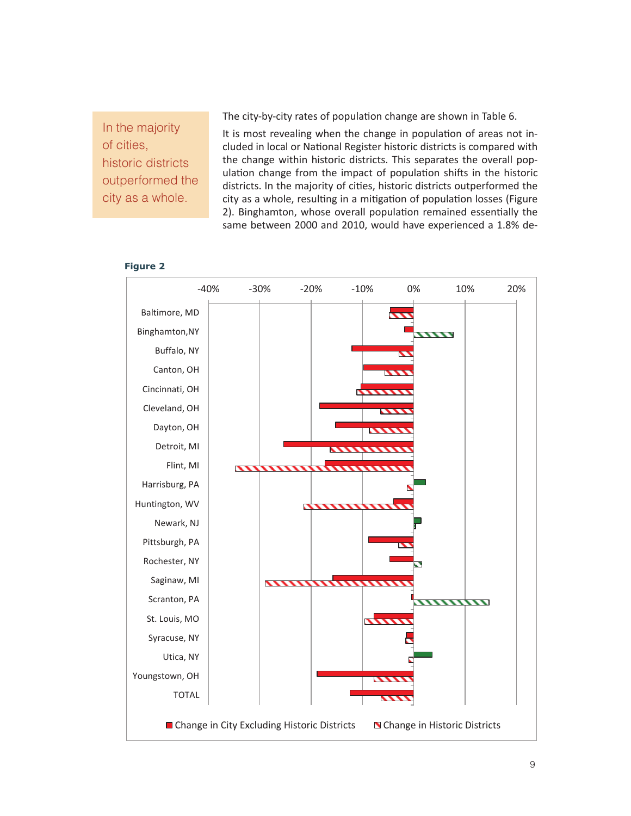In the majority of cities, historic districts outperformed the city as a whole.

The city-by-city rates of population change are shown in Table 6.

It is most revealing when the change in population of areas not included in local or National Register historic districts is compared with the change within historic districts. This separates the overall population change from the impact of population shifts in the historic districts. In the majority of cities, historic districts outperformed the city as a whole, resulting in a mitigation of population losses (Figure 2). Binghamton, whose overall population remained essentially the same between 2000 and 2010, would have experienced a 1.8% de-



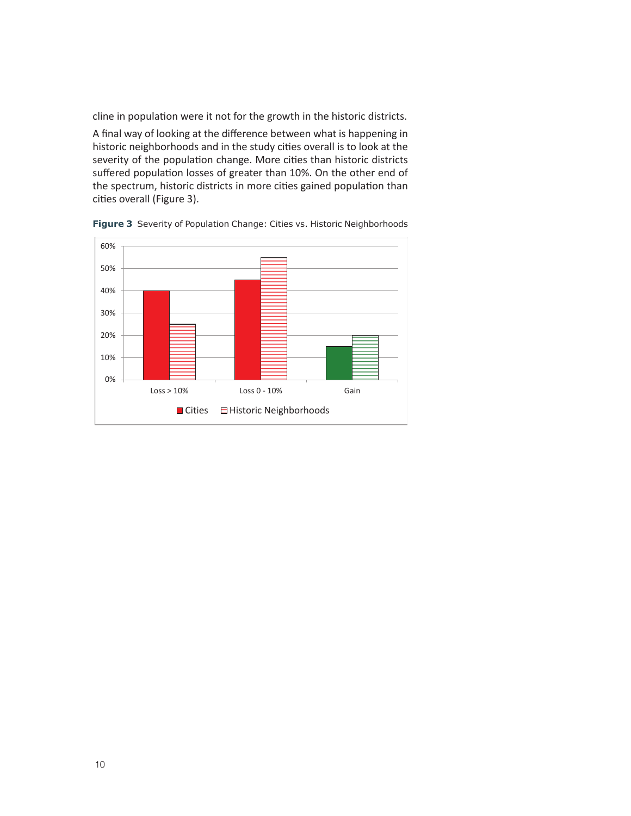cline in population were it not for the growth in the historic districts.

A final way of looking at the difference between what is happening in historic neighborhoods and in the study cities overall is to look at the severity of the population change. More cities than historic districts suffered population losses of greater than 10%. On the other end of the spectrum, historic districts in more cities gained population than cities overall (Figure 3). **Severity of Population Change** 



**Figure 3** Severity of Population Change: Cities vs. Historic Neighborhoods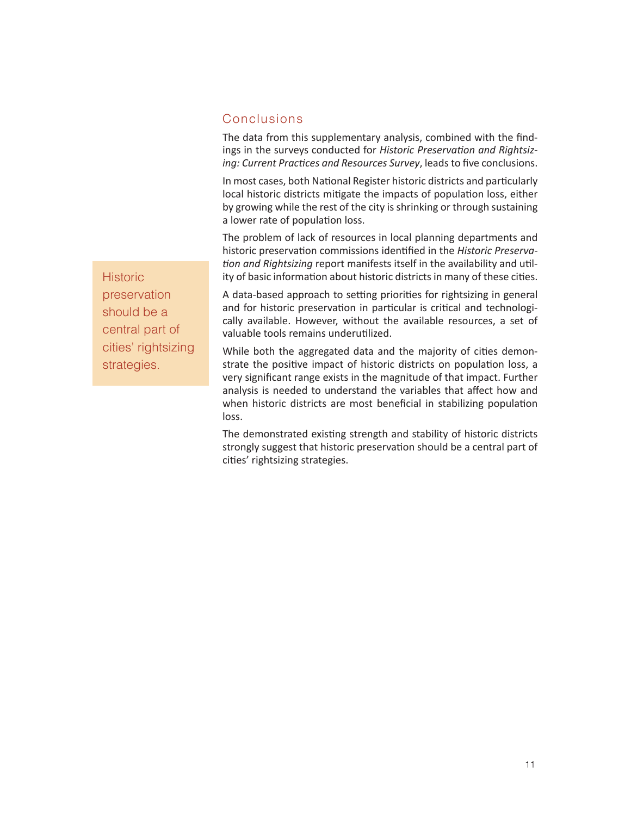## Conclusions

The data from this supplementary analysis, combined with the findings in the surveys conducted for Historic Preservation and Rightsizing: Current Practices and Resources Survey, leads to five conclusions.

In most cases, both National Register historic districts and particularly local historic districts mitigate the impacts of population loss, either by growing while the rest of the city is shrinking or through sustaining a lower rate of population loss.

The problem of lack of resources in local planning departments and historic preservation commissions identified in the *Historic Preservation and Rightsizing* report manifests itself in the availability and utility of basic information about historic districts in many of these cities.

A data-based approach to setting priorities for rightsizing in general and for historic preservation in particular is critical and technologically available. However, without the available resources, a set of valuable tools remains underutilized.

While both the aggregated data and the majority of cities demonstrate the positive impact of historic districts on population loss, a very significant range exists in the magnitude of that impact. Further analysis is needed to understand the variables that affect how and when historic districts are most beneficial in stabilizing population loss.

The demonstrated existing strength and stability of historic districts strongly suggest that historic preservation should be a central part of cities' rightsizing strategies.

**Historic** preservation should be a central part of cities' rightsizing strategies.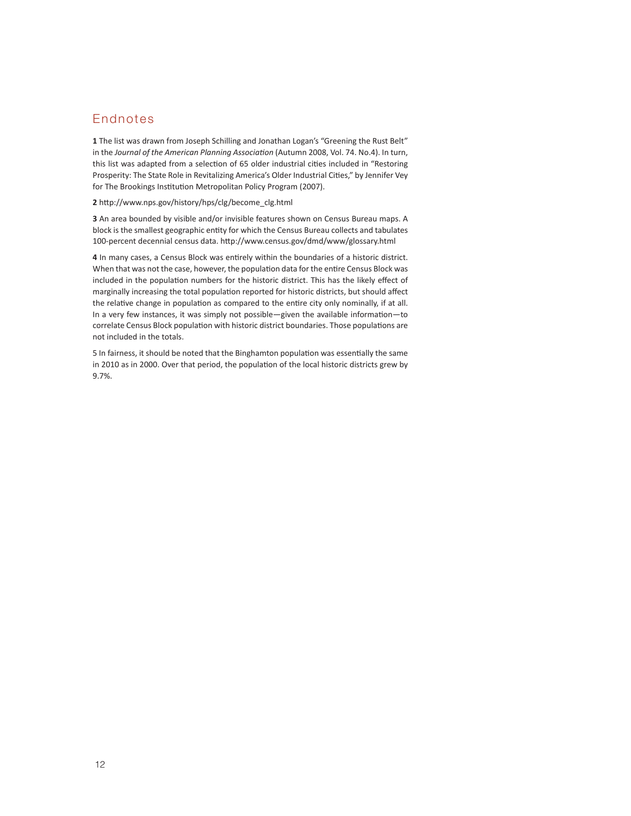## Endnotes

**1** The list was drawn from Joseph Schilling and Jonathan Logan's "Greening the Rust Belt" in the *Journal of the American Planning Association* (Autumn 2008, Vol. 74. No.4). In turn, this list was adapted from a selection of 65 older industrial cities included in "Restoring Prosperity: The State Role in Revitalizing America's Older Industrial Cities," by Jennifer Vey for The Brookings Institution Metropolitan Policy Program (2007).

**2** http://www.nps.gov/history/hps/clg/become\_clg.html

**3** An area bounded by visible and/or invisible features shown on Census Bureau maps. A block is the smallest geographic entity for which the Census Bureau collects and tabulates 100-percent decennial census data. http://www.census.gov/dmd/www/glossary.html

**4** In many cases, a Census Block was entirely within the boundaries of a historic district. When that was not the case, however, the population data for the entire Census Block was included in the population numbers for the historic district. This has the likely effect of marginally increasing the total population reported for historic districts, but should affect the relative change in population as compared to the entire city only nominally, if at all. In a very few instances, it was simply not possible—given the available information—to correlate Census Block population with historic district boundaries. Those populations are not included in the totals.

5 In fairness, it should be noted that the Binghamton population was essentially the same in 2010 as in 2000. Over that period, the population of the local historic districts grew by 9.7%.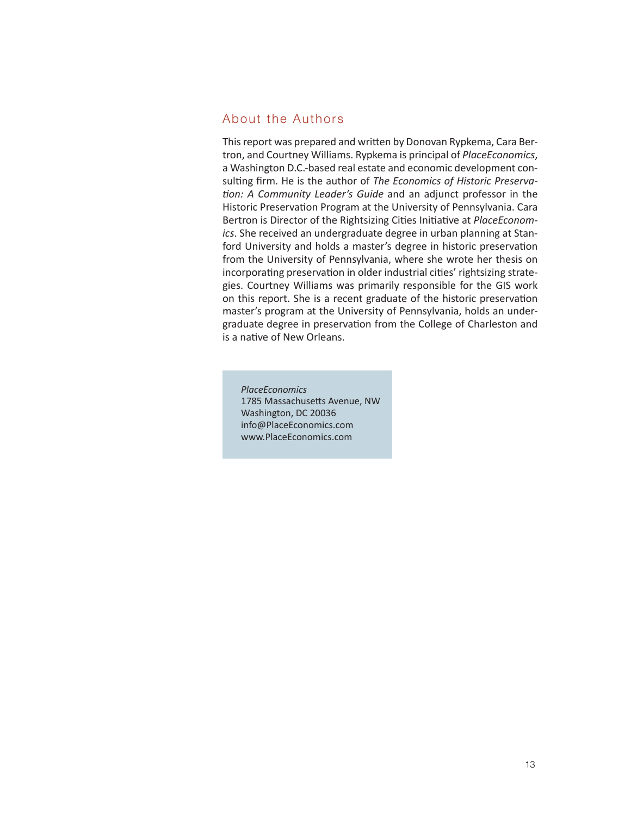## About the Authors

This report was prepared and written by Donovan Rypkema, Cara Bertron, and Courtney Williams. Rypkema is principal of *PlaceEconomics*, a Washington D.C.-based real estate and economic development consulting firm. He is the author of *The Economics of Historic Preserva*tion: A Community Leader's Guide and an adjunct professor in the Historic Preservation Program at the University of Pennsylvania. Cara Bertron is Director of the Rightsizing Cities Initiative at *PlaceEconomics*. She received an undergraduate degree in urban planning at Stanford University and holds a master's degree in historic preservation from the University of Pennsylvania, where she wrote her thesis on incorporating preservation in older industrial cities' rightsizing strategies. Courtney Williams was primarily responsible for the GIS work on this report. She is a recent graduate of the historic preservation master's program at the University of Pennsylvania, holds an undergraduate degree in preservation from the College of Charleston and is a native of New Orleans.

*PlaceEconomics* 1785 Massachusetts Avenue, NW Washington, DC 20036 info@PlaceEconomics.com www.PlaceEconomics.com